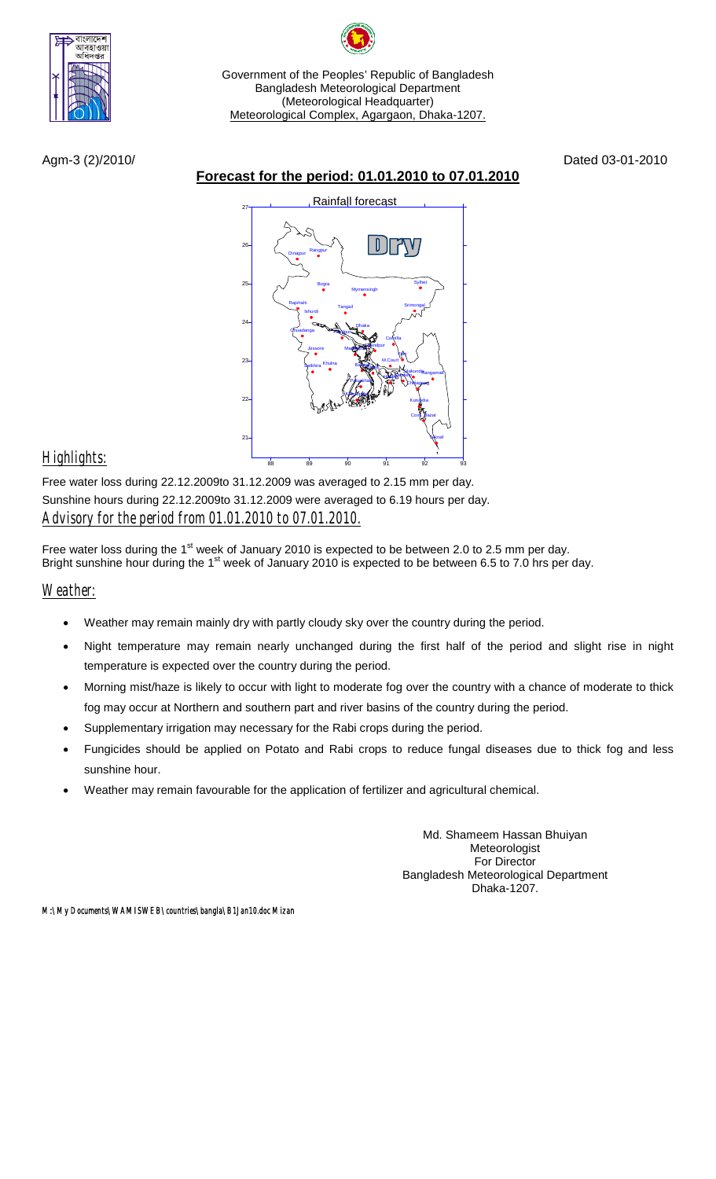

Government of the Peoples' Republic of Bangladesh Bangladesh Meteorological Department (Meteorological Headquarter) Meteorological Complex, Agargaon, Dhaka-1207.

Agm-3 (2)/2010/ Dated 03-01-2010

## **Forecast for the period: 01.01.2010 to 07.01.2010**



## *Highlights:*

Free water loss during 22.12.2009to 31.12.2009 was averaged to 2.15 mm per day. Sunshine hours during 22.12.2009to 31.12.2009 were averaged to 6.19 hours per day. *Advisory for the period from 01.01.2010 to 07.01.2010.*

Free water loss during the 1<sup>st</sup> week of January 2010 is expected to be between 2.0 to 2.5 mm per day. Bright sunshine hour during the  $1<sup>st</sup>$  week of January 2010 is expected to be between 6.5 to 7.0 hrs per day.

*Weather:*

- Weather may remain mainly dry with partly cloudy sky over the country during the period.
- Night temperature may remain nearly unchanged during the first half of the period and slight rise in night temperature is expected over the country during the period.
- Morning mist/haze is likely to occur with light to moderate fog over the country with a chance of moderate to thick fog may occur at Northern and southern part and river basins of the country during the period.
- Supplementary irrigation may necessary for the Rabi crops during the period.
- Fungicides should be applied on Potato and Rabi crops to reduce fungal diseases due to thick fog and less sunshine hour.
- Weather may remain favourable for the application of fertilizer and agricultural chemical.

Md. Shameem Hassan Bhuiyan Meteorologist For Director Bangladesh Meteorological Department Dhaka-1207.

*M:\My Documents\WAMISWEB\countries\bangla\B1Jan10.doc Mizan*